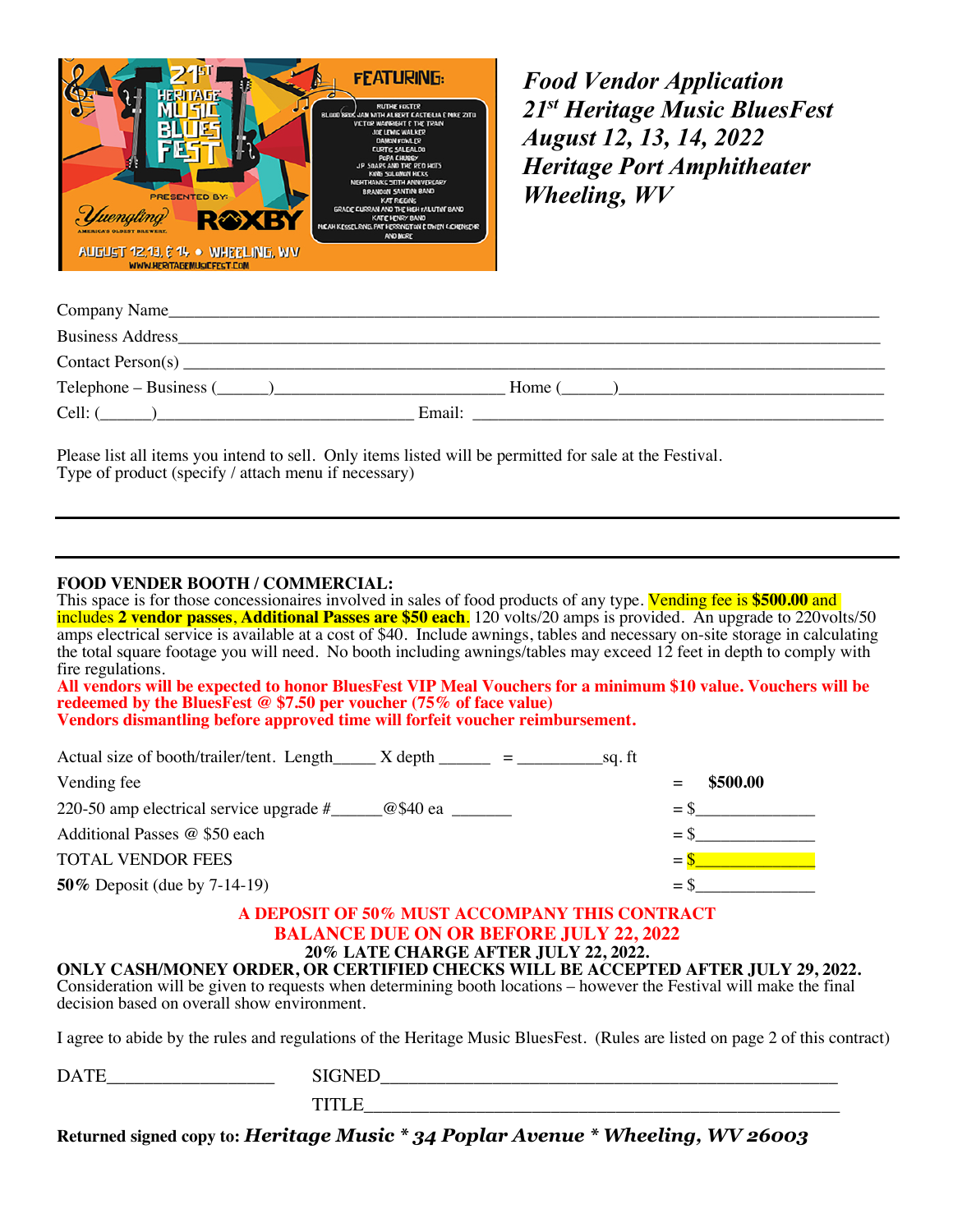

*Food Vendor Application 21st Heritage Music BluesFest August 12, 13, 14, 2022 Heritage Port Amphitheater Wheeling, WV*

| Company Name_                |             |
|------------------------------|-------------|
| <b>Business Address</b>      |             |
|                              |             |
| $Telephone - Business (\_ )$ | $Home($ $)$ |
| $Cell:$ (                    | Email:      |

Please list all items you intend to sell. Only items listed will be permitted for sale at the Festival. Type of product (specify / attach menu if necessary)

### **FOOD VENDER BOOTH / COMMERCIAL:**

This space is for those concessionaires involved in sales of food products of any type. Vending fee is **\$500.00** and includes **2 vendor passes**, **Additional Passes are \$50 each**. 120 volts/20 amps is provided. An upgrade to 220volts/50 amps electrical service is available at a cost of \$40. Include awnings, tables and necessary on-site storage in calculating the total square footage you will need. No booth including awnings/tables may exceed 12 feet in depth to comply with fire regulations.

**All vendors will be expected to honor BluesFest VIP Meal Vouchers for a minimum \$10 value. Vouchers will be redeemed by the BluesFest @ \$7.50 per voucher (75% of face value) Vendors dismantling before approved time will forfeit voucher reimbursement.** 

| Actual size of booth/trailer/tent. Length $\frac{X}{x}$ & Nepth $\frac{1}{x}$ = $\frac{1}{x}$<br>sq. ft |          |
|---------------------------------------------------------------------------------------------------------|----------|
| Vending fee                                                                                             | \$500.00 |
| 220-50 amp electrical service upgrade $\#$ $\qquad \qquad \textcircled{g}$ \$40 ea                      | $=$ S    |
| Additional Passes @ \$50 each                                                                           | $=$ S    |
| <b>TOTAL VENDOR FEES</b>                                                                                | $=$      |
| <b>50%</b> Deposit (due by 7-14-19)                                                                     | $=$ .    |

# **A DEPOSIT OF 50% MUST ACCOMPANY THIS CONTRACT BALANCE DUE ON OR BEFORE JULY 22, 2022**<br>20% LATE CHARGE AFTER JULY 22, 2022.

**ONLY CASH/MONEY ORDER, OR CERTIFIED CHECKS WILL BE ACCEPTED AFTER JULY 29, 2022.**<br>Consideration will be given to requests when determining booth locations – however the Festival will make the final decision based on overall show environment.

I agree to abide by the rules and regulations of the Heritage Music BluesFest. (Rules are listed on page 2 of this contract)

| ້<br>____ |  |
|-----------|--|
|           |  |

**Returned signed copy to:** *Heritage Music \* 34 Poplar Avenue \* Wheeling, WV 26003*